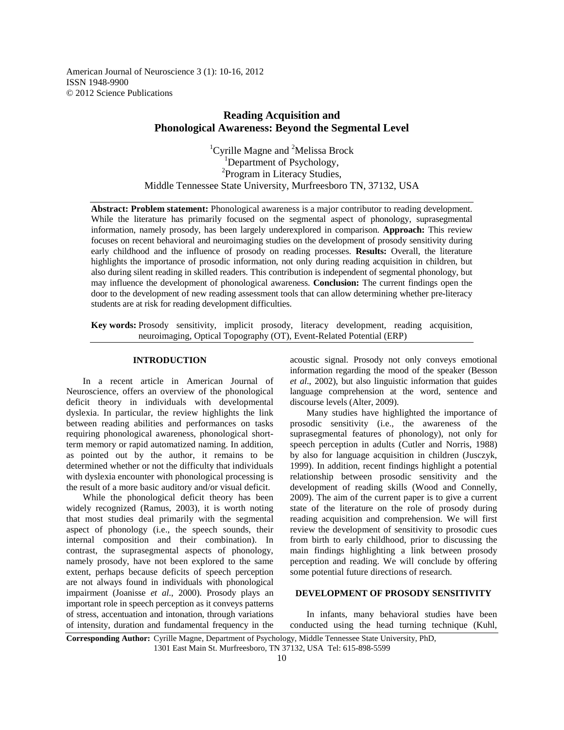American Journal of Neuroscience 3 (1): 10-16, 2012 ISSN 1948-9900 © 2012 Science Publications

# **Reading Acquisition and Phonological Awareness: Beyond the Segmental Level**

<sup>1</sup>Cyrille Magne and <sup>2</sup>Melissa Brock <sup>1</sup>Department of Psychology, <sup>2</sup>Program in Literacy Studies, Middle Tennessee State University, Murfreesboro TN, 37132, USA

**Abstract: Problem statement:** Phonological awareness is a major contributor to reading development. While the literature has primarily focused on the segmental aspect of phonology, suprasegmental information, namely prosody, has been largely underexplored in comparison. **Approach:** This review focuses on recent behavioral and neuroimaging studies on the development of prosody sensitivity during early childhood and the influence of prosody on reading processes. **Results:** Overall, the literature highlights the importance of prosodic information, not only during reading acquisition in children, but also during silent reading in skilled readers. This contribution is independent of segmental phonology, but may influence the development of phonological awareness. **Conclusion:** The current findings open the door to the development of new reading assessment tools that can allow determining whether pre-literacy students are at risk for reading development difficulties.

**Key words:** Prosody sensitivity, implicit prosody, literacy development, reading acquisition, neuroimaging, Optical Topography (OT), Event-Related Potential (ERP)

## **INTRODUCTION**

 In a recent article in American Journal of Neuroscience, offers an overview of the phonological deficit theory in individuals with developmental dyslexia. In particular, the review highlights the link between reading abilities and performances on tasks requiring phonological awareness, phonological shortterm memory or rapid automatized naming. In addition, as pointed out by the author, it remains to be determined whether or not the difficulty that individuals with dyslexia encounter with phonological processing is the result of a more basic auditory and/or visual deficit.

 While the phonological deficit theory has been widely recognized (Ramus, 2003), it is worth noting that most studies deal primarily with the segmental aspect of phonology (i.e., the speech sounds, their internal composition and their combination). In contrast, the suprasegmental aspects of phonology, namely prosody, have not been explored to the same extent, perhaps because deficits of speech perception are not always found in individuals with phonological impairment (Joanisse *et al*., 2000). Prosody plays an important role in speech perception as it conveys patterns of stress, accentuation and intonation, through variations of intensity, duration and fundamental frequency in the

acoustic signal. Prosody not only conveys emotional information regarding the mood of the speaker (Besson *et al*., 2002), but also linguistic information that guides language comprehension at the word, sentence and discourse levels (Alter, 2009).

 Many studies have highlighted the importance of prosodic sensitivity (i.e., the awareness of the suprasegmental features of phonology), not only for speech perception in adults (Cutler and Norris, 1988) by also for language acquisition in children (Jusczyk, 1999). In addition, recent findings highlight a potential relationship between prosodic sensitivity and the development of reading skills (Wood and Connelly, 2009). The aim of the current paper is to give a current state of the literature on the role of prosody during reading acquisition and comprehension. We will first review the development of sensitivity to prosodic cues from birth to early childhood, prior to discussing the main findings highlighting a link between prosody perception and reading. We will conclude by offering some potential future directions of research.

### **DEVELOPMENT OF PROSODY SENSITIVITY**

In infants, many behavioral studies have been conducted using the head turning technique (Kuhl,

**Corresponding Author:** Cyrille Magne, Department of Psychology, Middle Tennessee State University, PhD, 1301 East Main St. Murfreesboro, TN 37132, USA Tel: 615-898-5599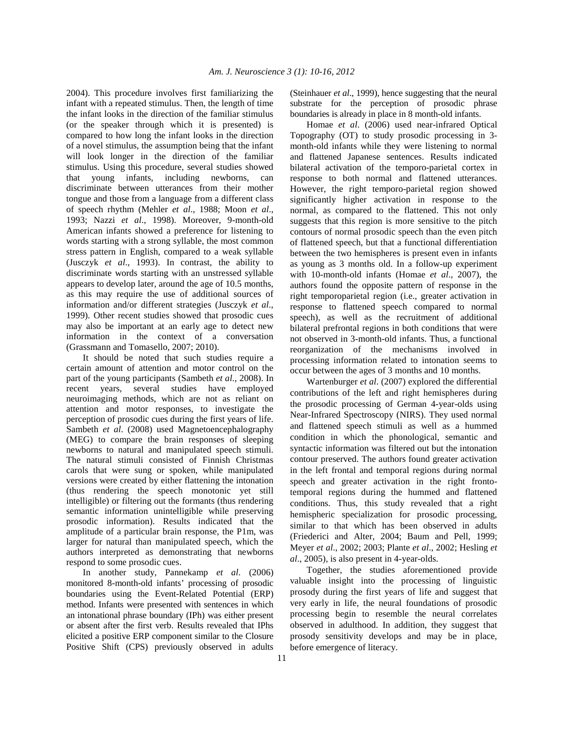2004). This procedure involves first familiarizing the infant with a repeated stimulus. Then, the length of time the infant looks in the direction of the familiar stimulus (or the speaker through which it is presented) is compared to how long the infant looks in the direction of a novel stimulus, the assumption being that the infant will look longer in the direction of the familiar stimulus. Using this procedure, several studies showed that young infants, including newborns, can discriminate between utterances from their mother tongue and those from a language from a different class of speech rhythm (Mehler *et al*., 1988; Moon *et al*., 1993; Nazzi *et al*., 1998). Moreover, 9-month-old American infants showed a preference for listening to words starting with a strong syllable, the most common stress pattern in English, compared to a weak syllable (Jusczyk *et al*., 1993). In contrast, the ability to discriminate words starting with an unstressed syllable appears to develop later, around the age of 10.5 months, as this may require the use of additional sources of information and/or different strategies (Jusczyk *et al*., 1999). Other recent studies showed that prosodic cues may also be important at an early age to detect new information in the context of a conversation (Grassmann and Tomasello, 2007; 2010).

 It should be noted that such studies require a certain amount of attention and motor control on the part of the young participants (Sambeth *et al*., 2008). In recent years, several studies have employed neuroimaging methods, which are not as reliant on attention and motor responses, to investigate the perception of prosodic cues during the first years of life. Sambeth *et al*. (2008) used Magnetoencephalography (MEG) to compare the brain responses of sleeping newborns to natural and manipulated speech stimuli. The natural stimuli consisted of Finnish Christmas carols that were sung or spoken, while manipulated versions were created by either flattening the intonation (thus rendering the speech monotonic yet still intelligible) or filtering out the formants (thus rendering semantic information unintelligible while preserving prosodic information). Results indicated that the amplitude of a particular brain response, the P1m, was larger for natural than manipulated speech, which the authors interpreted as demonstrating that newborns respond to some prosodic cues.

 In another study, Pannekamp *et al*. (2006) monitored 8-month-old infants' processing of prosodic boundaries using the Event-Related Potential (ERP) method. Infants were presented with sentences in which an intonational phrase boundary (IPh) was either present or absent after the first verb. Results revealed that IPhs elicited a positive ERP component similar to the Closure Positive Shift (CPS) previously observed in adults (Steinhauer *et al*., 1999), hence suggesting that the neural substrate for the perception of prosodic phrase boundaries is already in place in 8 month-old infants.

 Homae *et al*. (2006) used near-infrared Optical Topography (OT) to study prosodic processing in 3 month-old infants while they were listening to normal and flattened Japanese sentences. Results indicated bilateral activation of the temporo-parietal cortex in response to both normal and flattened utterances. However, the right temporo-parietal region showed significantly higher activation in response to the normal, as compared to the flattened. This not only suggests that this region is more sensitive to the pitch contours of normal prosodic speech than the even pitch of flattened speech, but that a functional differentiation between the two hemispheres is present even in infants as young as 3 months old. In a follow-up experiment with 10-month-old infants (Homae *et al*., 2007), the authors found the opposite pattern of response in the right temporoparietal region (i.e., greater activation in response to flattened speech compared to normal speech), as well as the recruitment of additional bilateral prefrontal regions in both conditions that were not observed in 3-month-old infants. Thus, a functional reorganization of the mechanisms involved in processing information related to intonation seems to occur between the ages of 3 months and 10 months.

 Wartenburger *et al*. (2007) explored the differential contributions of the left and right hemispheres during the prosodic processing of German 4-year-olds using Near-Infrared Spectroscopy (NIRS). They used normal and flattened speech stimuli as well as a hummed condition in which the phonological, semantic and syntactic information was filtered out but the intonation contour preserved. The authors found greater activation in the left frontal and temporal regions during normal speech and greater activation in the right frontotemporal regions during the hummed and flattened conditions. Thus, this study revealed that a right hemispheric specialization for prosodic processing, similar to that which has been observed in adults (Friederici and Alter, 2004; Baum and Pell, 1999; Meyer *et al*., 2002; 2003; Plante *et al*., 2002; Hesling *et al*., 2005), is also present in 4-year-olds.

 Together, the studies aforementioned provide valuable insight into the processing of linguistic prosody during the first years of life and suggest that very early in life, the neural foundations of prosodic processing begin to resemble the neural correlates observed in adulthood. In addition, they suggest that prosody sensitivity develops and may be in place, before emergence of literacy.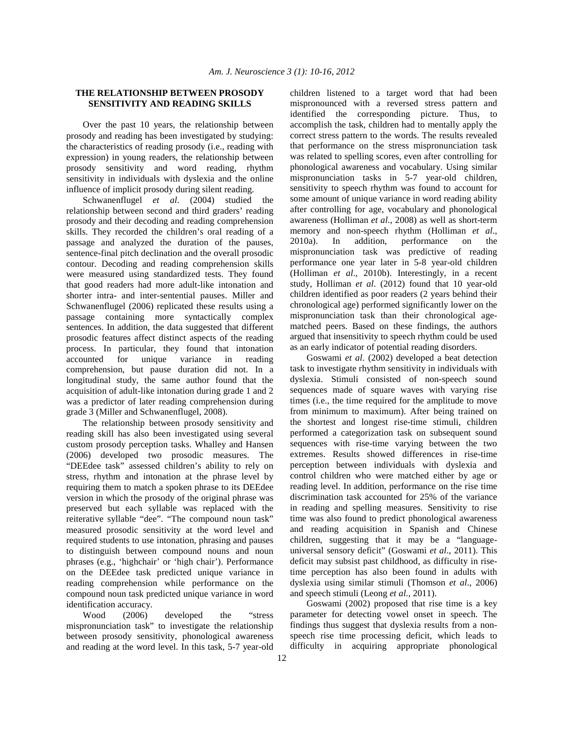# **THE RELATIONSHIP BETWEEN PROSODY SENSITIVITY AND READING SKILLS**

Over the past 10 years, the relationship between prosody and reading has been investigated by studying: the characteristics of reading prosody (i.e., reading with expression) in young readers, the relationship between prosody sensitivity and word reading, rhythm sensitivity in individuals with dyslexia and the online influence of implicit prosody during silent reading.

 Schwanenflugel *et al*. (2004) studied the relationship between second and third graders' reading prosody and their decoding and reading comprehension skills. They recorded the children's oral reading of a passage and analyzed the duration of the pauses, sentence-final pitch declination and the overall prosodic contour. Decoding and reading comprehension skills were measured using standardized tests. They found that good readers had more adult-like intonation and shorter intra- and inter-sentential pauses. Miller and Schwanenflugel (2006) replicated these results using a passage containing more syntactically complex sentences. In addition, the data suggested that different prosodic features affect distinct aspects of the reading process. In particular, they found that intonation accounted for unique variance in reading comprehension, but pause duration did not. In a longitudinal study, the same author found that the acquisition of adult-like intonation during grade 1 and 2 was a predictor of later reading comprehension during grade 3 (Miller and Schwanenflugel, 2008).

 The relationship between prosody sensitivity and reading skill has also been investigated using several custom prosody perception tasks. Whalley and Hansen (2006) developed two prosodic measures. The "DEEdee task" assessed children's ability to rely on stress, rhythm and intonation at the phrase level by requiring them to match a spoken phrase to its DEEdee version in which the prosody of the original phrase was preserved but each syllable was replaced with the reiterative syllable "dee". "The compound noun task" measured prosodic sensitivity at the word level and required students to use intonation, phrasing and pauses to distinguish between compound nouns and noun phrases (e.g., 'highchair' or 'high chair'). Performance on the DEEdee task predicted unique variance in reading comprehension while performance on the compound noun task predicted unique variance in word identification accuracy.

 Wood (2006) developed the "stress mispronunciation task" to investigate the relationship between prosody sensitivity, phonological awareness and reading at the word level. In this task, 5-7 year-old children listened to a target word that had been mispronounced with a reversed stress pattern and identified the corresponding picture. Thus, to accomplish the task, children had to mentally apply the correct stress pattern to the words. The results revealed that performance on the stress mispronunciation task was related to spelling scores, even after controlling for phonological awareness and vocabulary. Using similar mispronunciation tasks in 5-7 year-old children, sensitivity to speech rhythm was found to account for some amount of unique variance in word reading ability after controlling for age, vocabulary and phonological awareness (Holliman *et al*., 2008) as well as short-term memory and non-speech rhythm (Holliman *et al*., 2010a). In addition, performance on the mispronunciation task was predictive of reading performance one year later in 5-8 year-old children (Holliman *et al*., 2010b). Interestingly, in a recent study, Holliman *et al*. (2012) found that 10 year-old children identified as poor readers (2 years behind their chronological age) performed significantly lower on the mispronunciation task than their chronological agematched peers. Based on these findings, the authors argued that insensitivity to speech rhythm could be used as an early indicator of potential reading disorders.

 Goswami *et al*. (2002) developed a beat detection task to investigate rhythm sensitivity in individuals with dyslexia. Stimuli consisted of non-speech sound sequences made of square waves with varying rise times (i.e., the time required for the amplitude to move from minimum to maximum). After being trained on the shortest and longest rise-time stimuli, children performed a categorization task on subsequent sound sequences with rise-time varying between the two extremes. Results showed differences in rise-time perception between individuals with dyslexia and control children who were matched either by age or reading level. In addition, performance on the rise time discrimination task accounted for 25% of the variance in reading and spelling measures. Sensitivity to rise time was also found to predict phonological awareness and reading acquisition in Spanish and Chinese children, suggesting that it may be a "languageuniversal sensory deficit" (Goswami *et al*., 2011). This deficit may subsist past childhood, as difficulty in risetime perception has also been found in adults with dyslexia using similar stimuli (Thomson *et al*., 2006) and speech stimuli (Leong *et al*., 2011).

 Goswami (2002) proposed that rise time is a key parameter for detecting vowel onset in speech. The findings thus suggest that dyslexia results from a nonspeech rise time processing deficit, which leads to difficulty in acquiring appropriate phonological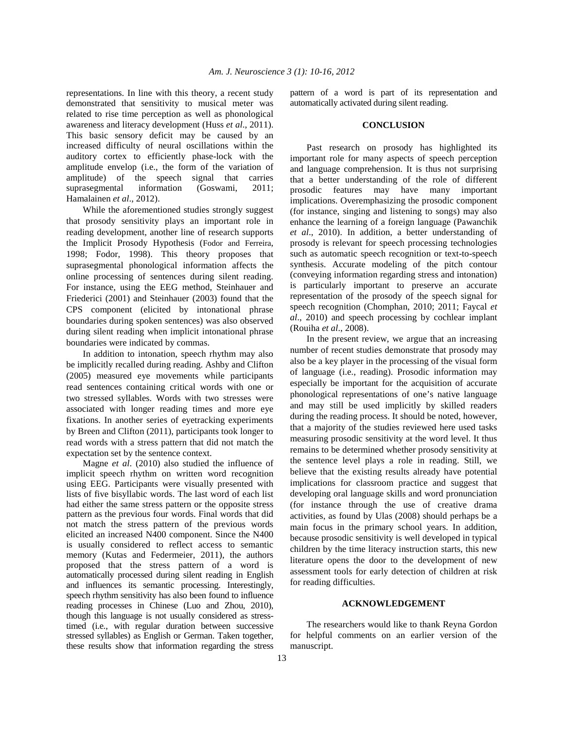representations. In line with this theory, a recent study demonstrated that sensitivity to musical meter was related to rise time perception as well as phonological awareness and literacy development (Huss *et al*., 2011). This basic sensory deficit may be caused by an increased difficulty of neural oscillations within the auditory cortex to efficiently phase-lock with the amplitude envelop (i.e., the form of the variation of amplitude) of the speech signal that carries suprasegmental information (Goswami, 2011; Hamalainen *et al*., 2012).

 While the aforementioned studies strongly suggest that prosody sensitivity plays an important role in reading development, another line of research supports the Implicit Prosody Hypothesis (Fodor and Ferreira, 1998; Fodor, 1998). This theory proposes that suprasegmental phonological information affects the online processing of sentences during silent reading. For instance, using the EEG method, Steinhauer and Friederici (2001) and Steinhauer (2003) found that the CPS component (elicited by intonational phrase boundaries during spoken sentences) was also observed during silent reading when implicit intonational phrase boundaries were indicated by commas.

 In addition to intonation, speech rhythm may also be implicitly recalled during reading. Ashby and Clifton (2005) measured eye movements while participants read sentences containing critical words with one or two stressed syllables. Words with two stresses were associated with longer reading times and more eye fixations. In another series of eyetracking experiments by Breen and Clifton (2011), participants took longer to read words with a stress pattern that did not match the expectation set by the sentence context.

 Magne *et al*. (2010) also studied the influence of implicit speech rhythm on written word recognition using EEG. Participants were visually presented with lists of five bisyllabic words. The last word of each list had either the same stress pattern or the opposite stress pattern as the previous four words. Final words that did not match the stress pattern of the previous words elicited an increased N400 component. Since the N400 is usually considered to reflect access to semantic memory (Kutas and Federmeier, 2011), the authors proposed that the stress pattern of a word is automatically processed during silent reading in English and influences its semantic processing. Interestingly, speech rhythm sensitivity has also been found to influence reading processes in Chinese (Luo and Zhou, 2010), though this language is not usually considered as stresstimed (i.e., with regular duration between successive stressed syllables) as English or German. Taken together, these results show that information regarding the stress

pattern of a word is part of its representation and automatically activated during silent reading.

#### **CONCLUSION**

 Past research on prosody has highlighted its important role for many aspects of speech perception and language comprehension. It is thus not surprising that a better understanding of the role of different prosodic features may have many important implications. Overemphasizing the prosodic component (for instance, singing and listening to songs) may also enhance the learning of a foreign language (Pawanchik *et al*., 2010). In addition, a better understanding of prosody is relevant for speech processing technologies such as automatic speech recognition or text-to-speech synthesis. Accurate modeling of the pitch contour (conveying information regarding stress and intonation) is particularly important to preserve an accurate representation of the prosody of the speech signal for speech recognition (Chomphan, 2010; 2011; Faycal *et al*., 2010) and speech processing by cochlear implant (Rouiha *et al*., 2008).

 In the present review, we argue that an increasing number of recent studies demonstrate that prosody may also be a key player in the processing of the visual form of language (i.e., reading). Prosodic information may especially be important for the acquisition of accurate phonological representations of one's native language and may still be used implicitly by skilled readers during the reading process. It should be noted, however, that a majority of the studies reviewed here used tasks measuring prosodic sensitivity at the word level. It thus remains to be determined whether prosody sensitivity at the sentence level plays a role in reading. Still, we believe that the existing results already have potential implications for classroom practice and suggest that developing oral language skills and word pronunciation (for instance through the use of creative drama activities, as found by Ulas (2008) should perhaps be a main focus in the primary school years. In addition, because prosodic sensitivity is well developed in typical children by the time literacy instruction starts, this new literature opens the door to the development of new assessment tools for early detection of children at risk for reading difficulties.

### **ACKNOWLEDGEMENT**

 The researchers would like to thank Reyna Gordon for helpful comments on an earlier version of the manuscript.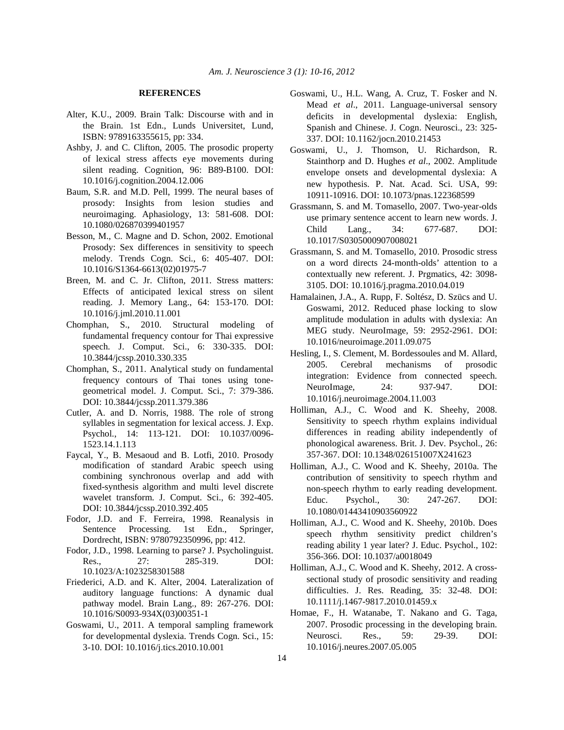#### **REFERENCES**

- Alter, K.U., 2009. Brain Talk: Discourse with and in the Brain. 1st Edn., Lunds Universitet, Lund, ISBN: 9789163355615, pp: 334.
- Ashby, J. and C. Clifton, 2005. The prosodic property of lexical stress affects eye movements during silent reading. Cognition, 96: B89-B100. DOI: 10.1016/j.cognition.2004.12.006
- Baum, S.R. and M.D. Pell, 1999. The neural bases of prosody: Insights from lesion studies and neuroimaging. Aphasiology, 13: 581-608. DOI: 10.1080/026870399401957
- Besson, M., C. Magne and D. Schon, 2002. Emotional Prosody: Sex differences in sensitivity to speech melody. Trends Cogn. Sci., 6: 405-407. DOI: 10.1016/S1364-6613(02)01975-7
- Breen, M. and C. Jr. Clifton, 2011. Stress matters: Effects of anticipated lexical stress on silent reading. J. Memory Lang., 64: 153-170. DOI: 10.1016/j.jml.2010.11.001
- Chomphan, S., 2010. Structural modeling of fundamental frequency contour for Thai expressive speech. J. Comput. Sci., 6: 330-335. DOI: 10.3844/jcssp.2010.330.335
- Chomphan, S., 2011. Analytical study on fundamental frequency contours of Thai tones using tonegeometrical model. J. Comput. Sci., 7: 379-386. DOI: 10.3844/jcssp.2011.379.386
- Cutler, A. and D. Norris, 1988. The role of strong syllables in segmentation for lexical access. J. Exp. Psychol., 14: 113-121. DOI: 10.1037/0096- 1523.14.1.113
- Faycal, Y., B. Mesaoud and B. Lotfi, 2010. Prosody modification of standard Arabic speech using combining synchronous overlap and add with fixed-synthesis algorithm and multi level discrete wavelet transform. J. Comput. Sci., 6: 392-405. DOI: 10.3844/jcssp.2010.392.405
- Fodor, J.D. and F. Ferreira, 1998. Reanalysis in Sentence Processing. 1st Edn., Springer, Dordrecht, ISBN: 9780792350996, pp: 412.
- Fodor, J.D., 1998. Learning to parse? J. Psycholinguist. Res., 27: 285-319. DOI: 10.1023/A:1023258301588
- Friederici, A.D. and K. Alter, 2004. Lateralization of auditory language functions: A dynamic dual pathway model. Brain Lang., 89: 267-276. DOI: 10.1016/S0093-934X(03)00351-1
- Goswami, U., 2011. A temporal sampling framework for developmental dyslexia. Trends Cogn. Sci., 15: 3-10. DOI: 10.1016/j.tics.2010.10.001
- Goswami, U., H.L. Wang, A. Cruz, T. Fosker and N. Mead *et al*., 2011. Language-universal sensory deficits in developmental dyslexia: English, Spanish and Chinese. J. Cogn. Neurosci., 23: 325- 337. DOI: 10.1162/jocn.2010.21453
- Goswami, U., J. Thomson, U. Richardson, R. Stainthorp and D. Hughes *et al*., 2002. Amplitude envelope onsets and developmental dyslexia: A new hypothesis. P. Nat. Acad. Sci. USA, 99: 10911-10916. DOI: 10.1073/pnas.122368599
- Grassmann, S. and M. Tomasello, 2007. Two-year-olds use primary sentence accent to learn new words. J. Child Lang., 34: 677-687. DOI: 10.1017/S0305000907008021
- Grassmann, S. and M. Tomasello, 2010. Prosodic stress on a word directs 24-month-olds' attention to a contextually new referent. J. Prgmatics, 42: 3098- 3105. DOI: 10.1016/j.pragma.2010.04.019
- Hamalainen, J.A., A. Rupp, F. Soltész, D. Szücs and U. Goswami, 2012. Reduced phase locking to slow amplitude modulation in adults with dyslexia: An MEG study. NeuroImage, 59: 2952-2961. DOI: 10.1016/neuroimage.2011.09.075
- Hesling, I., S. Clement, M. Bordessoules and M. Allard, 2005. Cerebral mechanisms of prosodic integration: Evidence from connected speech. NeuroImage, 24: 937-947. DOI: 10.1016/j.neuroimage.2004.11.003
- Holliman, A.J., C. Wood and K. Sheehy, 2008. Sensitivity to speech rhythm explains individual differences in reading ability independently of phonological awareness. Brit. J. Dev. Psychol., 26: 357-367. DOI: 10.1348/026151007X241623
- Holliman, A.J., C. Wood and K. Sheehy, 2010a. The contribution of sensitivity to speech rhythm and non-speech rhythm to early reading development. Educ. Psychol., 30: 247-267. DOI: 10.1080/01443410903560922
- Holliman, A.J., C. Wood and K. Sheehy, 2010b. Does speech rhythm sensitivity predict children's reading ability 1 year later? J. Educ. Psychol., 102: 356-366. DOI: 10.1037/a0018049
- Holliman, A.J., C. Wood and K. Sheehy, 2012. A crosssectional study of prosodic sensitivity and reading difficulties. J. Res. Reading, 35: 32-48. DOI: 10.1111/j.1467-9817.2010.01459.x
- Homae, F., H. Watanabe, T. Nakano and G. Taga, 2007. Prosodic processing in the developing brain. Neurosci. Res., 59: 29-39. DOI: 10.1016/j.neures.2007.05.005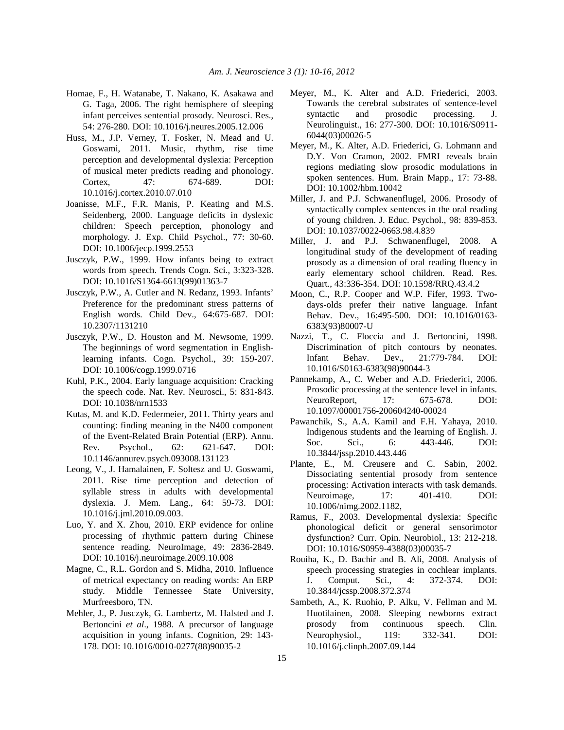- Homae, F., H. Watanabe, T. Nakano, K. Asakawa and G. Taga, 2006. The right hemisphere of sleeping infant perceives sentential prosody. Neurosci. Res., 54: 276-280. DOI: 10.1016/j.neures.2005.12.006
- Huss, M., J.P. Verney, T. Fosker, N. Mead and U. Goswami, 2011. Music, rhythm, rise time perception and developmental dyslexia: Perception of musical meter predicts reading and phonology. Cortex, 47: 674-689. DOI: 10.1016/j.cortex.2010.07.010
- Joanisse, M.F., F.R. Manis, P. Keating and M.S. Seidenberg, 2000. Language deficits in dyslexic children: Speech perception, phonology and morphology. J. Exp. Child Psychol., 77: 30-60. DOI: 10.1006/jecp.1999.2553
- Jusczyk, P.W., 1999. How infants being to extract words from speech. Trends Cogn. Sci., 3:323-328. DOI: 10.1016/S1364-6613(99)01363-7
- Jusczyk, P.W., A. Cutler and N. Redanz, 1993. Infants' Preference for the predominant stress patterns of English words. Child Dev., 64:675-687. DOI: 10.2307/1131210
- Jusczyk, P.W., D. Houston and M. Newsome, 1999. The beginnings of word segmentation in Englishlearning infants. Cogn. Psychol., 39: 159-207. DOI: 10.1006/cogp.1999.0716
- Kuhl, P.K., 2004. Early language acquisition: Cracking the speech code. Nat. Rev. Neurosci., 5: 831-843. DOI: 10.1038/nrn1533
- Kutas, M. and K.D. Federmeier, 2011. Thirty years and counting: finding meaning in the N400 component of the Event-Related Brain Potential (ERP). Annu. Rev. Psychol., 62: 621-647. DOI: 10.1146/annurev.psych.093008.131123
- Leong, V., J. Hamalainen, F. Soltesz and U. Goswami, 2011. Rise time perception and detection of syllable stress in adults with developmental dyslexia. J. Mem. Lang., 64: 59-73. DOI: 10.1016/j.jml.2010.09.003.
- Luo, Y. and X. Zhou, 2010. ERP evidence for online processing of rhythmic pattern during Chinese sentence reading. NeuroImage, 49: 2836-2849. DOI: 10.1016/j.neuroimage.2009.10.008
- Magne, C., R.L. Gordon and S. Midha, 2010. Influence of metrical expectancy on reading words: An ERP study. Middle Tennessee State University, Murfreesboro, TN.
- Mehler, J., P. Jusczyk, G. Lambertz, M. Halsted and J. Bertoncini *et al*., 1988. A precursor of language acquisition in young infants. Cognition, 29: 143- 178. DOI: 10.1016/0010-0277(88)90035-2
- Meyer, M., K. Alter and A.D. Friederici, 2003. Towards the cerebral substrates of sentence-level syntactic and prosodic processing. J. Neurolinguist., 16: 277-300. DOI: 10.1016/S0911- 6044(03)00026-5
- Meyer, M., K. Alter, A.D. Friederici, G. Lohmann and D.Y. Von Cramon, 2002. FMRI reveals brain regions mediating slow prosodic modulations in spoken sentences. Hum. Brain Mapp., 17: 73-88. DOI: 10.1002/hbm.10042
- Miller, J. and P.J. Schwanenflugel, 2006. Prosody of syntactically complex sentences in the oral reading of young children. J. Educ. Psychol., 98: 839-853. DOI: 10.1037/0022-0663.98.4.839
- Miller, J. and P.J. Schwanenflugel, 2008. A longitudinal study of the development of reading prosody as a dimension of oral reading fluency in early elementary school children. Read. Res. Quart., 43:336-354. DOI: 10.1598/RRQ.43.4.2
- Moon, C., R.P. Cooper and W.P. Fifer, 1993. Twodays-olds prefer their native language. Infant Behav. Dev., 16:495-500. DOI: 10.1016/0163- 6383(93)80007-U
- Nazzi, T., C. Floccia and J. Bertoncini, 1998. Discrimination of pitch contours by neonates. Infant Behav. Dev., 21:779-784. DOI: 10.1016/S0163-6383(98)90044-3
- Pannekamp, A., C. Weber and A.D. Friederici, 2006. Prosodic processing at the sentence level in infants. NeuroReport, 17: 675-678. DOI: 10.1097/00001756-200604240-00024
- Pawanchik, S., A.A. Kamil and F.H. Yahaya, 2010. Indigenous students and the learning of English. J. Soc. Sci., 6: 443-446. DOI: 10.3844/jssp.2010.443.446
- Plante, E., M. Creusere and C. Sabin, 2002. Dissociating sentential prosody from sentence processing: Activation interacts with task demands. Neuroimage, 17: 401-410. DOI: 10.1006/nimg.2002.1182,
- Ramus, F., 2003. Developmental dyslexia: Specific phonological deficit or general sensorimotor dysfunction? Curr. Opin. Neurobiol., 13: 212-218. DOI: 10.1016/S0959-4388(03)00035-7
- Rouiha, K., D. Bachir and B. Ali, 2008. Analysis of speech processing strategies in cochlear implants. J. Comput. Sci., 4: 372-374. DOI: 10.3844/jcssp.2008.372.374
- Sambeth, A., K. Ruohio, P. Alku, V. Fellman and M. Huotilainen, 2008. Sleeping newborns extract prosody from continuous speech. Clin. Neurophysiol., 119: 332-341. DOI: 10.1016/j.clinph.2007.09.144